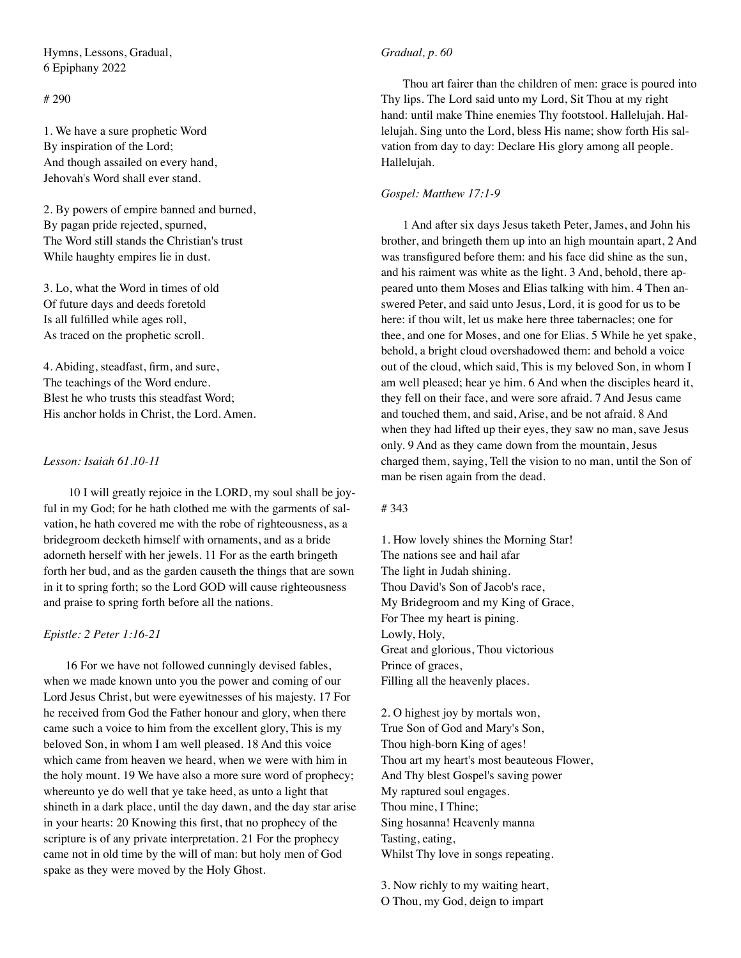Hymns, Lessons, Gradual, 6 Epiphany 2022

# # 290

1. We have a sure prophetic Word By inspiration of the Lord; And though assailed on every hand, Jehovah's Word shall ever stand.

2. By powers of empire banned and burned, By pagan pride rejected, spurned, The Word still stands the Christian's trust While haughty empires lie in dust.

3. Lo, what the Word in times of old Of future days and deeds foretold Is all fulfilled while ages roll, As traced on the prophetic scroll.

4. Abiding, steadfast, firm, and sure, The teachings of the Word endure. Blest he who trusts this steadfast Word; His anchor holds in Christ, the Lord. Amen.

## *Lesson: Isaiah 61.10-11*

 10 I will greatly rejoice in the LORD, my soul shall be joyful in my God; for he hath clothed me with the garments of salvation, he hath covered me with the robe of righteousness, as a bridegroom decketh himself with ornaments, and as a bride adorneth herself with her jewels. 11 For as the earth bringeth forth her bud, and as the garden causeth the things that are sown in it to spring forth; so the Lord GOD will cause righteousness and praise to spring forth before all the nations.

### *Epistle: 2 Peter 1:16-21*

16 For we have not followed cunningly devised fables, when we made known unto you the power and coming of our Lord Jesus Christ, but were eyewitnesses of his majesty. 17 For he received from God the Father honour and glory, when there came such a voice to him from the excellent glory, This is my beloved Son, in whom I am well pleased. 18 And this voice which came from heaven we heard, when we were with him in the holy mount. 19 We have also a more sure word of prophecy; whereunto ye do well that ye take heed, as unto a light that shineth in a dark place, until the day dawn, and the day star arise in your hearts: 20 Knowing this first, that no prophecy of the scripture is of any private interpretation. 21 For the prophecy came not in old time by the will of man: but holy men of God spake as they were moved by the Holy Ghost.

## *Gradual, p. 60*

Thou art fairer than the children of men: grace is poured into Thy lips. The Lord said unto my Lord, Sit Thou at my right hand: until make Thine enemies Thy footstool. Hallelujah. Hallelujah. Sing unto the Lord, bless His name; show forth His salvation from day to day: Declare His glory among all people. Hallelujah.

### *Gospel: Matthew 17:1-9*

1 And after six days Jesus taketh Peter, James, and John his brother, and bringeth them up into an high mountain apart, 2 And was transfigured before them: and his face did shine as the sun, and his raiment was white as the light. 3 And, behold, there appeared unto them Moses and Elias talking with him. 4 Then answered Peter, and said unto Jesus, Lord, it is good for us to be here: if thou wilt, let us make here three tabernacles; one for thee, and one for Moses, and one for Elias. 5 While he yet spake, behold, a bright cloud overshadowed them: and behold a voice out of the cloud, which said, This is my beloved Son, in whom I am well pleased; hear ye him. 6 And when the disciples heard it, they fell on their face, and were sore afraid. 7 And Jesus came and touched them, and said, Arise, and be not afraid. 8 And when they had lifted up their eyes, they saw no man, save Jesus only. 9 And as they came down from the mountain, Jesus charged them, saying, Tell the vision to no man, until the Son of man be risen again from the dead.

#### # 343

1. How lovely shines the Morning Star! The nations see and hail afar The light in Judah shining. Thou David's Son of Jacob's race, My Bridegroom and my King of Grace, For Thee my heart is pining. Lowly, Holy, Great and glorious, Thou victorious Prince of graces, Filling all the heavenly places.

2. O highest joy by mortals won, True Son of God and Mary's Son, Thou high-born King of ages! Thou art my heart's most beauteous Flower, And Thy blest Gospel's saving power My raptured soul engages. Thou mine, I Thine; Sing hosanna! Heavenly manna Tasting, eating, Whilst Thy love in songs repeating.

3. Now richly to my waiting heart, O Thou, my God, deign to impart